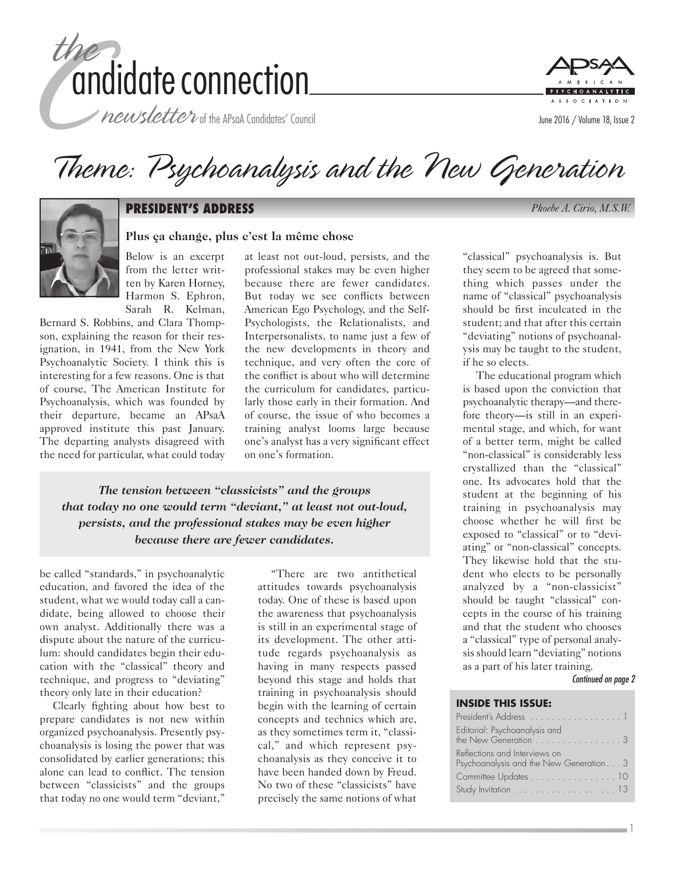

newsletter of the APsaA Candidates' Council



# Theme: Psychoanalysis and the New Generation



#### **PRESIDENT'S ADDRESS** *Phoebe A. Cirio, M.S.W.*

#### **Plus ça change, plus c'est la même chose**

Below is an excerpt from the letter written by Karen Horney, Harmon S. Ephron, Sarah R. Kelman,

Bernard S. Robbins, and Clara Thompson, explaining the reason for their resignation, in 1941, from the New York Psychoanalytic Society. I think this is interesting for a few reasons. One is that of course, The American Institute for Psychoanalysis, which was founded by their departure, became an APsaA approved institute this past January. The departing analysts disagreed with the need for particular, what could today

at least not out-loud, persists, and the professional stakes may be even higher because there are fewer candidates. But today we see conflicts between American Ego Psychology, and the Self-Psychologists, the Relationalists, and Interpersonalists, to name just a few of the new developments in theory and technique, and very often the core of the conflict is about who will determine the curriculum for candidates, particularly those early in their formation. And of course, the issue of who becomes a training analyst looms large because one's analyst has a very significant effect on one's formation.

*The tension between "classicists" and the groups that today no one would term "deviant," at least not out-loud, persists, and the professional stakes may be even higher because there are fewer candidates.*

be called "standards," in psychoanalytic education, and favored the idea of the student, what we would today call a candidate, being allowed to choose their own analyst. Additionally there was a dispute about the nature of the curriculum: should candidates begin their education with the "classical" theory and technique, and progress to "deviating" theory only late in their education?

Clearly fighting about how best to prepare candidates is not new within organized psychoanalysis. Presently psychoanalysis is losing the power that was consolidated by earlier generations; this alone can lead to conflict. The tension between "classicists" and the groups that today no one would term "deviant,"

"There are two antithetical attitudes towards psychoanalysis today. One of these is based upon the awareness that psychoanalysis is still in an experimental stage of its development. The other attitude regards psychoanalysis as having in many respects passed beyond this stage and holds that training in psychoanalysis should begin with the learning of certain concepts and technics which are, as they sometimes term it, "classical," and which represent psychoanalysis as they conceive it to have been handed down by Freud. No two of these "classicists" have precisely the same notions of what

"classical" psychoanalysis is. But they seem to be agreed that something which passes under the name of "classical" psychoanalysis should be first inculcated in the student; and that after this certain "deviating" notions of psychoanalysis may be taught to the student, if he so elects.

The educational program which is based upon the conviction that psychoanalytic therapy—and therefore theory—is still in an experimental stage, and which, for want of a better term, might be called "non-classical" is considerably less crystallized than the "classical" one. Its advocates hold that the student at the beginning of his training in psychoanalysis may choose whether he will first be exposed to "classical" or to "deviating" or "non-classical" concepts. They likewise hold that the student who elects to be personally analyzed by a "non-classicist" should be taught "classical" concepts in the course of his training and that the student who chooses a "classical" type of personal analysis should learn "deviating" notions as a part of his later training.

*Continued on page 2*

1

#### **INSIDE THIS ISSUE:**

| President's Address 1                                                                      |
|--------------------------------------------------------------------------------------------|
| Editorial: Psychoanalysis and<br>the New Generation $\ldots \ldots \ldots \ldots \ldots 3$ |
| Reflections and Interviews on<br>Psychoanalysis and the New Generation3                    |
| Committee Updates 10                                                                       |
|                                                                                            |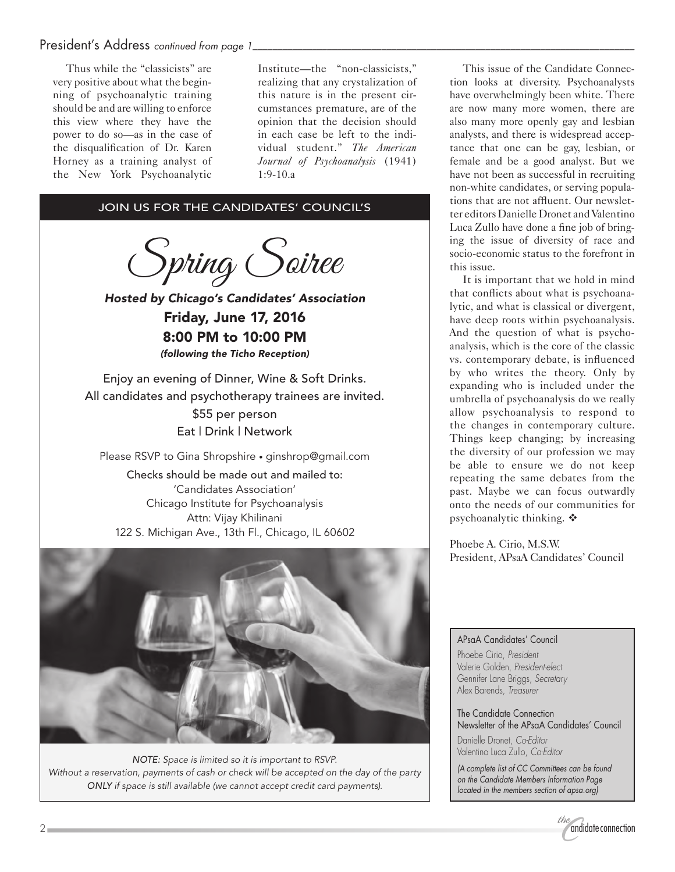#### President's Address *continued from page 1*

Thus while the "classicists" are very positive about what the beginning of psychoanalytic training should be and are willing to enforce this view where they have the power to do so—as in the case of the disqualification of Dr. Karen Horney as a training analyst of the New York Psychoanalytic

Institute—the "non-classicists," realizing that any crystalization of this nature is in the present circumstances premature, are of the opinion that the decision should in each case be left to the individual student." *The American Journal of Psychoanalysis* (1941) 1:9-10.a

#### JOIN US FOR THE CANDIDATES' COUNCIL'S

Spring Soiree

*Hosted by Chicago's Candidates' Association* Friday, June 17, 2016 8:00 PM to 10:00 PM *(following the Ticho Reception)*

Enjoy an evening of Dinner, Wine & Soft Drinks. All candidates and psychotherapy trainees are invited. \$55 per person Eat | Drink | Network

Please RSVP to Gina Shropshire • ginshrop@gmail.com

Checks should be made out and mailed to: 'Candidates Association' Chicago Institute for Psychoanalysis Attn: Vijay Khilinani 122 S. Michigan Ave., 13th Fl., Chicago, IL 60602



*NOTE: Space is limited so it is important to RSVP. Without a reservation, payments of cash or check will be accepted on the day of the party ONLY if space is still available (we cannot accept credit card payments).*

This issue of the Candidate Connection looks at diversity. Psychoanalysts have overwhelmingly been white. There are now many more women, there are also many more openly gay and lesbian analysts, and there is widespread acceptance that one can be gay, lesbian, or female and be a good analyst. But we have not been as successful in recruiting non-white candidates, or serving populations that are not affluent. Our newsletter editors Danielle Dronet and Valentino Luca Zullo have done a fine job of bringing the issue of diversity of race and socio-economic status to the forefront in this issue.

It is important that we hold in mind that conflicts about what is psychoanalytic, and what is classical or divergent, have deep roots within psychoanalysis. And the question of what is psychoanalysis, which is the core of the classic vs. contemporary debate, is influenced by who writes the theory. Only by expanding who is included under the umbrella of psychoanalysis do we really allow psychoanalysis to respond to the changes in contemporary culture. Things keep changing; by increasing the diversity of our profession we may be able to ensure we do not keep repeating the same debates from the past. Maybe we can focus outwardly onto the needs of our communities for psychoanalytic thinking.  $\mathbf{\hat{v}}$ 

Phoebe A. Cirio, M.S.W. President, APsaA Candidates' Council

#### APsaA Candidates' Council

Phoebe Cirio, *President* Valerie Golden, *President-elect* Gennifer Lane Briggs, *Secretary* Alex Barends, *Treasurer*

The Candidate Connection Newsletter of the APsaA Candidates' Council

Danielle Dronet, *Co-Editor* Valentino Luca Zullo, *Co-Editor*

*(A complete list of CC Committees can be found on the Candidate Members Information Page located in the members section of apsa.org)*

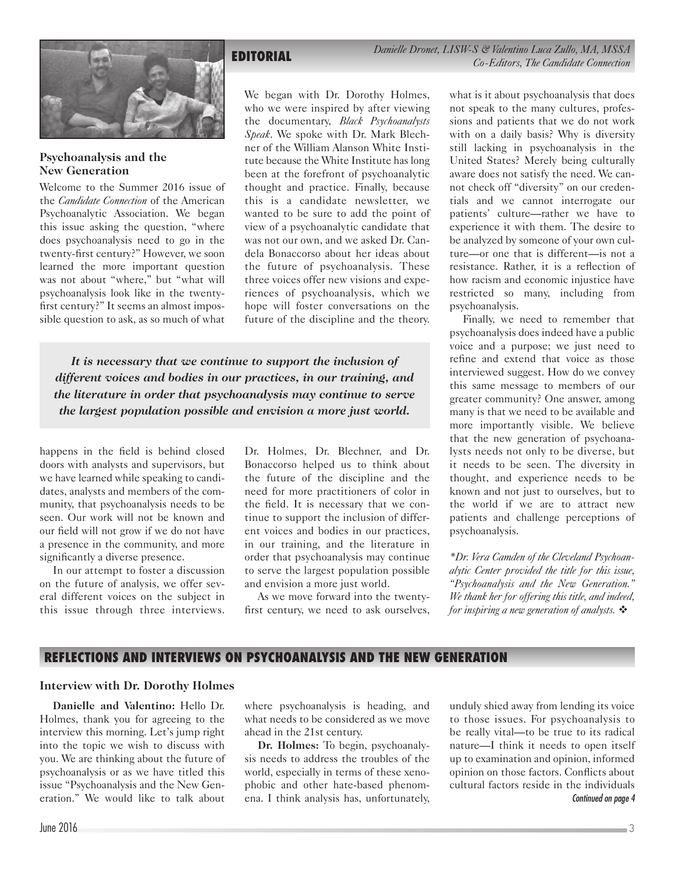

#### **Psychoanalysis and the New Generation**

Welcome to the Summer 2016 issue of the *Candidate Connection* of the American Psychoanalytic Association. We began this issue asking the question, "where does psychoanalysis need to go in the twenty-first century?" However, we soon learned the more important question was not about "where," but "what will psychoanalysis look like in the twentyfirst century?" It seems an almost impossible question to ask, as so much of what

**EDITORIAL** *Danielle Dronet, LISW-S & Valentino Luca Zullo, MA, MSSA Co-Editors, The Candidate Connection*

We began with Dr. Dorothy Holmes, who we were inspired by after viewing the documentary, *Black Psychoanalysts Speak*. We spoke with Dr. Mark Blechner of the William Alanson White Institute because the White Institute has long been at the forefront of psychoanalytic thought and practice. Finally, because this is a candidate newsletter, we wanted to be sure to add the point of view of a psychoanalytic candidate that was not our own, and we asked Dr. Candela Bonaccorso about her ideas about the future of psychoanalysis. These three voices offer new visions and experiences of psychoanalysis, which we hope will foster conversations on the future of the discipline and the theory.

*It is necessary that we continue to support the inclusion of different voices and bodies in our practices, in our training, and the literature in order that psychoanalysis may continue to serve the largest population possible and envision a more just world.*

happens in the field is behind closed doors with analysts and supervisors, but we have learned while speaking to candidates, analysts and members of the community, that psychoanalysis needs to be seen. Our work will not be known and our field will not grow if we do not have a presence in the community, and more significantly a diverse presence.

In our attempt to foster a discussion on the future of analysis, we offer several different voices on the subject in this issue through three interviews.

Dr. Holmes, Dr. Blechner, and Dr. Bonaccorso helped us to think about the future of the discipline and the need for more practitioners of color in the field. It is necessary that we continue to support the inclusion of different voices and bodies in our practices, in our training, and the literature in order that psychoanalysis may continue to serve the largest population possible and envision a more just world.

As we move forward into the twentyfirst century, we need to ask ourselves, what is it about psychoanalysis that does not speak to the many cultures, professions and patients that we do not work with on a daily basis? Why is diversity still lacking in psychoanalysis in the United States? Merely being culturally aware does not satisfy the need. We cannot check off "diversity" on our credentials and we cannot interrogate our patients' culture—rather we have to experience it with them. The desire to be analyzed by someone of your own culture—or one that is different—is not a resistance. Rather, it is a reflection of how racism and economic injustice have restricted so many, including from psychoanalysis.

Finally, we need to remember that psychoanalysis does indeed have a public voice and a purpose; we just need to refine and extend that voice as those interviewed suggest. How do we convey this same message to members of our greater community? One answer, among many is that we need to be available and more importantly visible. We believe that the new generation of psychoanalysts needs not only to be diverse, but it needs to be seen. The diversity in thought, and experience needs to be known and not just to ourselves, but to the world if we are to attract new patients and challenge perceptions of psychoanalysis.

*\*Dr. Vera Camden of the Cleveland Psychoanalytic Center provided the title for this issue, "Psychoanalysis and the New Generation." We thank her for offering this title, and indeed, for inspiring a new generation of analysts.* 

#### **REFLECTIONS AND INTERVIEWS ON PSYCHOANALYSIS AND THE NEW GENERATION**

#### **Interview with Dr. Dorothy Holmes**

**Danielle and Valentino:** Hello Dr. Holmes, thank you for agreeing to the interview this morning. Let's jump right into the topic we wish to discuss with you. We are thinking about the future of psychoanalysis or as we have titled this issue "Psychoanalysis and the New Generation." We would like to talk about

where psychoanalysis is heading, and what needs to be considered as we move ahead in the 21st century.

**Dr. Holmes:** To begin, psychoanalysis needs to address the troubles of the world, especially in terms of these xenophobic and other hate-based phenomena. I think analysis has, unfortunately, unduly shied away from lending its voice to those issues. For psychoanalysis to be really vital—to be true to its radical nature—I think it needs to open itself up to examination and opinion, informed opinion on those factors. Conflicts about cultural factors reside in the individuals *Continued on page 4*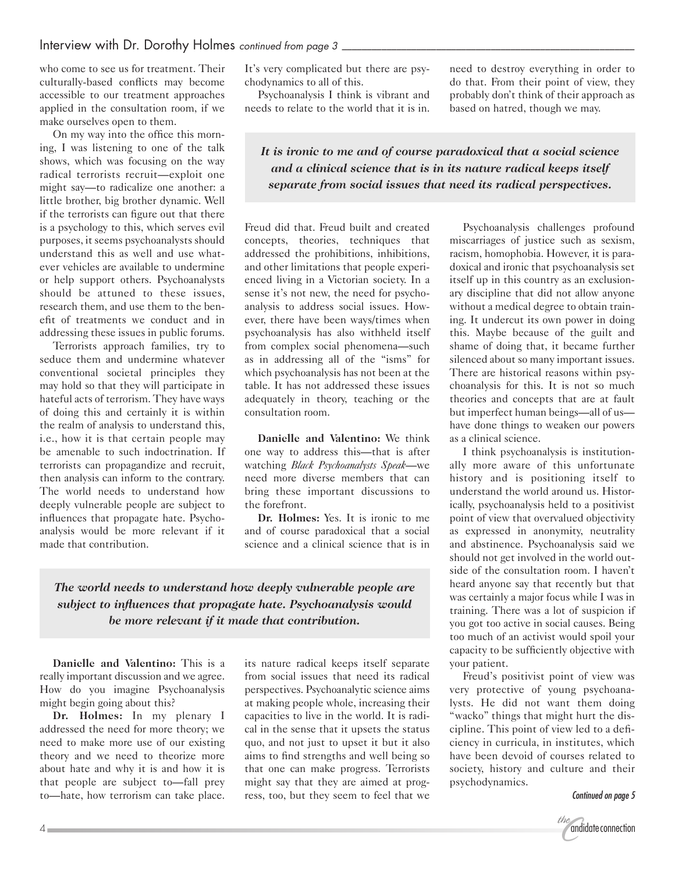who come to see us for treatment. Their culturally-based conflicts may become accessible to our treatment approaches applied in the consultation room, if we make ourselves open to them.

On my way into the office this morning, I was listening to one of the talk shows, which was focusing on the way radical terrorists recruit—exploit one might say—to radicalize one another: a little brother, big brother dynamic. Well if the terrorists can figure out that there is a psychology to this, which serves evil purposes, it seems psychoanalysts should understand this as well and use whatever vehicles are available to undermine or help support others. Psychoanalysts should be attuned to these issues, research them, and use them to the benefit of treatments we conduct and in addressing these issues in public forums.

Terrorists approach families, try to seduce them and undermine whatever conventional societal principles they may hold so that they will participate in hateful acts of terrorism. They have ways of doing this and certainly it is within the realm of analysis to understand this, i.e., how it is that certain people may be amenable to such indoctrination. If terrorists can propagandize and recruit, then analysis can inform to the contrary. The world needs to understand how deeply vulnerable people are subject to influences that propagate hate. Psychoanalysis would be more relevant if it made that contribution.

It's very complicated but there are psychodynamics to all of this.

Psychoanalysis I think is vibrant and needs to relate to the world that it is in. need to destroy everything in order to do that. From their point of view, they probably don't think of their approach as based on hatred, though we may.

*It is ironic to me and of course paradoxical that a social science and a clinical science that is in its nature radical keeps itself separate from social issues that need its radical perspectives.*

Freud did that. Freud built and created concepts, theories, techniques that addressed the prohibitions, inhibitions, and other limitations that people experienced living in a Victorian society. In a sense it's not new, the need for psychoanalysis to address social issues. However, there have been ways/times when psychoanalysis has also withheld itself from complex social phenomena—such as in addressing all of the "isms" for which psychoanalysis has not been at the table. It has not addressed these issues adequately in theory, teaching or the consultation room.

**Danielle and Valentino:** We think one way to address this—that is after watching *Black Psychoanalysts Speak*—we need more diverse members that can bring these important discussions to the forefront.

**Dr. Holmes:** Yes. It is ironic to me and of course paradoxical that a social science and a clinical science that is in

*The world needs to understand how deeply vulnerable people are subject to influences that propagate hate. Psychoanalysis would be more relevant if it made that contribution.*

**Danielle and Valentino:** This is a really important discussion and we agree. How do you imagine Psychoanalysis might begin going about this?

**Dr. Holmes:** In my plenary I addressed the need for more theory; we need to make more use of our existing theory and we need to theorize more about hate and why it is and how it is that people are subject to—fall prey to—hate, how terrorism can take place. its nature radical keeps itself separate from social issues that need its radical perspectives. Psychoanalytic science aims at making people whole, increasing their capacities to live in the world. It is radical in the sense that it upsets the status quo, and not just to upset it but it also aims to find strengths and well being so that one can make progress. Terrorists might say that they are aimed at progress, too, but they seem to feel that we

Psychoanalysis challenges profound miscarriages of justice such as sexism, racism, homophobia. However, it is paradoxical and ironic that psychoanalysis set itself up in this country as an exclusionary discipline that did not allow anyone without a medical degree to obtain training. It undercut its own power in doing this. Maybe because of the guilt and shame of doing that, it became further silenced about so many important issues. There are historical reasons within psychoanalysis for this. It is not so much theories and concepts that are at fault but imperfect human beings—all of us have done things to weaken our powers as a clinical science.

I think psychoanalysis is institutionally more aware of this unfortunate history and is positioning itself to understand the world around us. Historically, psychoanalysis held to a positivist point of view that overvalued objectivity as expressed in anonymity, neutrality and abstinence. Psychoanalysis said we should not get involved in the world outside of the consultation room. I haven't heard anyone say that recently but that was certainly a major focus while I was in training. There was a lot of suspicion if you got too active in social causes. Being too much of an activist would spoil your capacity to be sufficiently objective with your patient.

Freud's positivist point of view was very protective of young psychoanalysts. He did not want them doing "wacko" things that might hurt the discipline. This point of view led to a deficiency in curricula, in institutes, which have been devoid of courses related to society, history and culture and their psychodynamics.

*Continued on page 5*

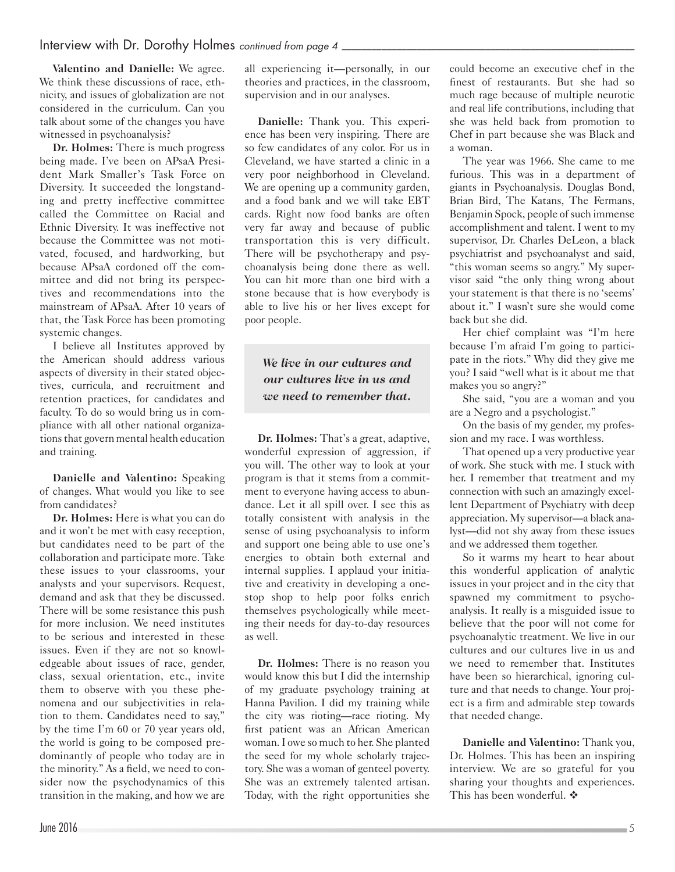**Valentino and Danielle:** We agree. We think these discussions of race, ethnicity, and issues of globalization are not considered in the curriculum. Can you talk about some of the changes you have witnessed in psychoanalysis?

**Dr. Holmes:** There is much progress being made. I've been on APsaA President Mark Smaller's Task Force on Diversity. It succeeded the longstanding and pretty ineffective committee called the Committee on Racial and Ethnic Diversity. It was ineffective not because the Committee was not motivated, focused, and hardworking, but because APsaA cordoned off the committee and did not bring its perspectives and recommendations into the mainstream of APsaA. After 10 years of that, the Task Force has been promoting systemic changes.

I believe all Institutes approved by the American should address various aspects of diversity in their stated objectives, curricula, and recruitment and retention practices, for candidates and faculty. To do so would bring us in compliance with all other national organizations that govern mental health education and training.

**Danielle and Valentino:** Speaking of changes. What would you like to see from candidates?

**Dr. Holmes:** Here is what you can do and it won't be met with easy reception, but candidates need to be part of the collaboration and participate more. Take these issues to your classrooms, your analysts and your supervisors. Request, demand and ask that they be discussed. There will be some resistance this push for more inclusion. We need institutes to be serious and interested in these issues. Even if they are not so knowledgeable about issues of race, gender, class, sexual orientation, etc., invite them to observe with you these phenomena and our subjectivities in relation to them. Candidates need to say," by the time I'm 60 or 70 year years old, the world is going to be composed predominantly of people who today are in the minority." As a field, we need to consider now the psychodynamics of this transition in the making, and how we are all experiencing it—personally, in our theories and practices, in the classroom, supervision and in our analyses.

**Danielle:** Thank you. This experience has been very inspiring. There are so few candidates of any color. For us in Cleveland, we have started a clinic in a very poor neighborhood in Cleveland. We are opening up a community garden, and a food bank and we will take EBT cards. Right now food banks are often very far away and because of public transportation this is very difficult. There will be psychotherapy and psychoanalysis being done there as well. You can hit more than one bird with a stone because that is how everybody is able to live his or her lives except for poor people.

# *We live in our cultures and our cultures live in us and we need to remember that.*

**Dr. Holmes:** That's a great, adaptive, wonderful expression of aggression, if you will. The other way to look at your program is that it stems from a commitment to everyone having access to abundance. Let it all spill over. I see this as totally consistent with analysis in the sense of using psychoanalysis to inform and support one being able to use one's energies to obtain both external and internal supplies. I applaud your initiative and creativity in developing a onestop shop to help poor folks enrich themselves psychologically while meeting their needs for day-to-day resources as well.

**Dr. Holmes:** There is no reason you would know this but I did the internship of my graduate psychology training at Hanna Pavilion. I did my training while the city was rioting—race rioting. My first patient was an African American woman. I owe so much to her. She planted the seed for my whole scholarly trajectory. She was a woman of genteel poverty. She was an extremely talented artisan. Today, with the right opportunities she could become an executive chef in the finest of restaurants. But she had so much rage because of multiple neurotic and real life contributions, including that she was held back from promotion to Chef in part because she was Black and a woman.

The year was 1966. She came to me furious. This was in a department of giants in Psychoanalysis. Douglas Bond, Brian Bird, The Katans, The Fermans, Benjamin Spock, people of such immense accomplishment and talent. I went to my supervisor, Dr. Charles DeLeon, a black psychiatrist and psychoanalyst and said, "this woman seems so angry." My supervisor said "the only thing wrong about your statement is that there is no 'seems' about it." I wasn't sure she would come back but she did.

Her chief complaint was "I'm here because I'm afraid I'm going to participate in the riots." Why did they give me you? I said "well what is it about me that makes you so angry?"

She said, "you are a woman and you are a Negro and a psychologist."

On the basis of my gender, my profession and my race. I was worthless.

That opened up a very productive year of work. She stuck with me. I stuck with her. I remember that treatment and my connection with such an amazingly excellent Department of Psychiatry with deep appreciation. My supervisor—a black analyst—did not shy away from these issues and we addressed them together.

So it warms my heart to hear about this wonderful application of analytic issues in your project and in the city that spawned my commitment to psychoanalysis. It really is a misguided issue to believe that the poor will not come for psychoanalytic treatment. We live in our cultures and our cultures live in us and we need to remember that. Institutes have been so hierarchical, ignoring culture and that needs to change. Your project is a firm and admirable step towards that needed change.

**Danielle and Valentino:** Thank you, Dr. Holmes. This has been an inspiring interview. We are so grateful for you sharing your thoughts and experiences. This has been wonderful.  $\clubsuit$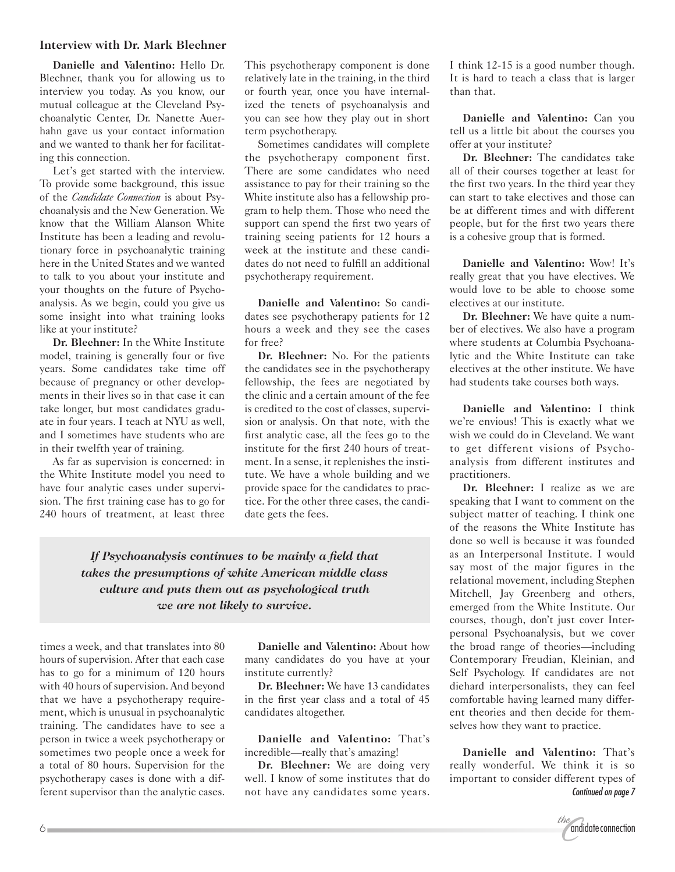#### **Interview with Dr. Mark Blechner**

**Danielle and Valentino:** Hello Dr. Blechner, thank you for allowing us to interview you today. As you know, our mutual colleague at the Cleveland Psychoanalytic Center, Dr. Nanette Auerhahn gave us your contact information and we wanted to thank her for facilitating this connection.

Let's get started with the interview. To provide some background, this issue of the *Candidate Connection* is about Psychoanalysis and the New Generation. We know that the William Alanson White Institute has been a leading and revolutionary force in psychoanalytic training here in the United States and we wanted to talk to you about your institute and your thoughts on the future of Psychoanalysis. As we begin, could you give us some insight into what training looks like at your institute?

**Dr. Blechner:** In the White Institute model, training is generally four or five years. Some candidates take time off because of pregnancy or other developments in their lives so in that case it can take longer, but most candidates graduate in four years. I teach at NYU as well, and I sometimes have students who are in their twelfth year of training.

As far as supervision is concerned: in the White Institute model you need to have four analytic cases under supervision. The first training case has to go for 240 hours of treatment, at least three This psychotherapy component is done relatively late in the training, in the third or fourth year, once you have internalized the tenets of psychoanalysis and you can see how they play out in short term psychotherapy.

Sometimes candidates will complete the psychotherapy component first. There are some candidates who need assistance to pay for their training so the White institute also has a fellowship program to help them. Those who need the support can spend the first two years of training seeing patients for 12 hours a week at the institute and these candidates do not need to fulfill an additional psychotherapy requirement.

**Danielle and Valentino:** So candidates see psychotherapy patients for 12 hours a week and they see the cases for free?

**Dr. Blechner:** No. For the patients the candidates see in the psychotherapy fellowship, the fees are negotiated by the clinic and a certain amount of the fee is credited to the cost of classes, supervision or analysis. On that note, with the first analytic case, all the fees go to the institute for the first 240 hours of treatment. In a sense, it replenishes the institute. We have a whole building and we provide space for the candidates to practice. For the other three cases, the candidate gets the fees.

*If Psychoanalysis continues to be mainly a field that takes the presumptions of white American middle class culture and puts them out as psychological truth we are not likely to survive.*

times a week, and that translates into 80 hours of supervision. After that each case has to go for a minimum of 120 hours with 40 hours of supervision. And beyond that we have a psychotherapy requirement, which is unusual in psychoanalytic training. The candidates have to see a person in twice a week psychotherapy or sometimes two people once a week for a total of 80 hours. Supervision for the psychotherapy cases is done with a different supervisor than the analytic cases.

**Danielle and Valentino:** About how many candidates do you have at your institute currently?

**Dr. Blechner:** We have 13 candidates in the first year class and a total of 45 candidates altogether.

**Danielle and Valentino:** That's incredible—really that's amazing!

**Dr. Blechner:** We are doing very well. I know of some institutes that do not have any candidates some years. I think 12-15 is a good number though. It is hard to teach a class that is larger than that.

**Danielle and Valentino:** Can you tell us a little bit about the courses you offer at your institute?

**Dr. Blechner:** The candidates take all of their courses together at least for the first two years. In the third year they can start to take electives and those can be at different times and with different people, but for the first two years there is a cohesive group that is formed.

**Danielle and Valentino:** Wow! It's really great that you have electives. We would love to be able to choose some electives at our institute.

**Dr. Blechner:** We have quite a number of electives. We also have a program where students at Columbia Psychoanalytic and the White Institute can take electives at the other institute. We have had students take courses both ways.

**Danielle and Valentino:** I think we're envious! This is exactly what we wish we could do in Cleveland. We want to get different visions of Psychoanalysis from different institutes and practitioners.

**Dr. Blechner:** I realize as we are speaking that I want to comment on the subject matter of teaching. I think one of the reasons the White Institute has done so well is because it was founded as an Interpersonal Institute. I would say most of the major figures in the relational movement, including Stephen Mitchell, Jay Greenberg and others, emerged from the White Institute. Our courses, though, don't just cover Interpersonal Psychoanalysis, but we cover the broad range of theories—including Contemporary Freudian, Kleinian, and Self Psychology. If candidates are not diehard interpersonalists, they can feel comfortable having learned many different theories and then decide for themselves how they want to practice.

**Danielle and Valentino:** That's really wonderful. We think it is so important to consider different types of *Continued on page 7*

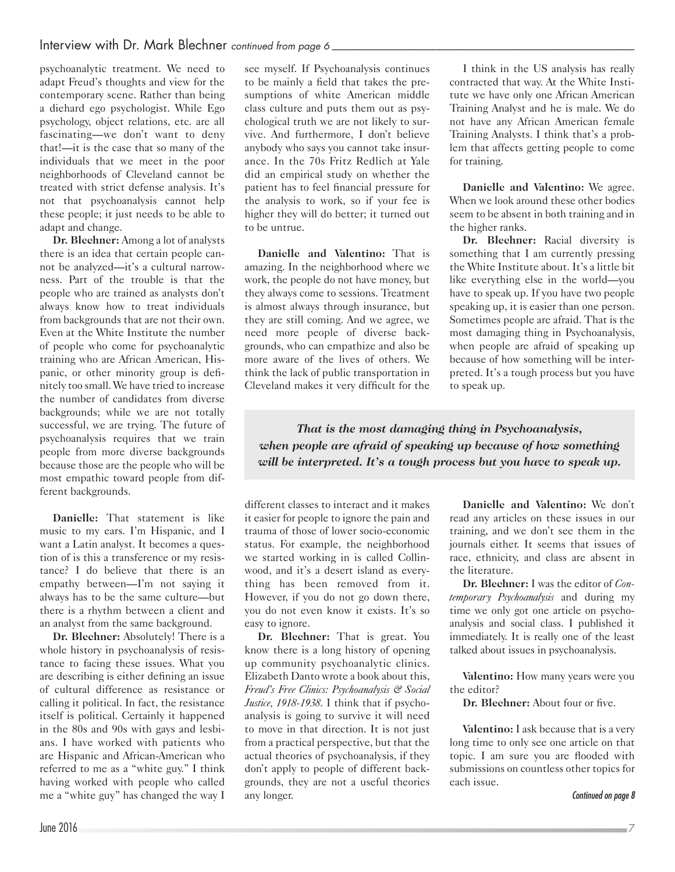psychoanalytic treatment. We need to adapt Freud's thoughts and view for the contemporary scene. Rather than being a diehard ego psychologist. While Ego psychology, object relations, etc. are all fascinating—we don't want to deny that!—it is the case that so many of the individuals that we meet in the poor neighborhoods of Cleveland cannot be treated with strict defense analysis. It's not that psychoanalysis cannot help these people; it just needs to be able to adapt and change.

**Dr. Blechner:** Among a lot of analysts there is an idea that certain people cannot be analyzed—it's a cultural narrowness. Part of the trouble is that the people who are trained as analysts don't always know how to treat individuals from backgrounds that are not their own. Even at the White Institute the number of people who come for psychoanalytic training who are African American, Hispanic, or other minority group is definitely too small. We have tried to increase the number of candidates from diverse backgrounds; while we are not totally successful, we are trying. The future of psychoanalysis requires that we train people from more diverse backgrounds because those are the people who will be most empathic toward people from different backgrounds.

**Danielle:** That statement is like music to my ears. I'm Hispanic, and I want a Latin analyst. It becomes a question of is this a transference or my resistance? I do believe that there is an empathy between—I'm not saying it always has to be the same culture—but there is a rhythm between a client and an analyst from the same background.

**Dr. Blechner:** Absolutely! There is a whole history in psychoanalysis of resistance to facing these issues. What you are describing is either defining an issue of cultural difference as resistance or calling it political. In fact, the resistance itself is political. Certainly it happened in the 80s and 90s with gays and lesbians. I have worked with patients who are Hispanic and African-American who referred to me as a "white guy." I think having worked with people who called me a "white guy" has changed the way I

see myself. If Psychoanalysis continues to be mainly a field that takes the presumptions of white American middle class culture and puts them out as psychological truth we are not likely to survive. And furthermore, I don't believe anybody who says you cannot take insurance. In the 70s Fritz Redlich at Yale did an empirical study on whether the patient has to feel financial pressure for the analysis to work, so if your fee is higher they will do better; it turned out to be untrue.

**Danielle and Valentino:** That is amazing. In the neighborhood where we work, the people do not have money, but they always come to sessions. Treatment is almost always through insurance, but they are still coming. And we agree, we need more people of diverse backgrounds, who can empathize and also be more aware of the lives of others. We think the lack of public transportation in Cleveland makes it very difficult for the

I think in the US analysis has really contracted that way. At the White Institute we have only one African American Training Analyst and he is male. We do not have any African American female Training Analysts. I think that's a problem that affects getting people to come for training.

**Danielle and Valentino:** We agree. When we look around these other bodies seem to be absent in both training and in the higher ranks.

**Dr. Blechner:** Racial diversity is something that I am currently pressing the White Institute about. It's a little bit like everything else in the world—you have to speak up. If you have two people speaking up, it is easier than one person. Sometimes people are afraid. That is the most damaging thing in Psychoanalysis, when people are afraid of speaking up because of how something will be interpreted. It's a tough process but you have to speak up.

*That is the most damaging thing in Psychoanalysis, when people are afraid of speaking up because of how something will be interpreted. It's a tough process but you have to speak up.*

different classes to interact and it makes it easier for people to ignore the pain and trauma of those of lower socio-economic status. For example, the neighborhood we started working in is called Collinwood, and it's a desert island as everything has been removed from it. However, if you do not go down there, you do not even know it exists. It's so easy to ignore.

**Dr. Blechner:** That is great. You know there is a long history of opening up community psychoanalytic clinics. Elizabeth Danto wrote a book about this, *Freud's Free Clinics: Psychoanalysis & Social Justice, 1918-1938*. I think that if psychoanalysis is going to survive it will need to move in that direction. It is not just from a practical perspective, but that the actual theories of psychoanalysis, if they don't apply to people of different backgrounds, they are not a useful theories any longer.

**Danielle and Valentino:** We don't read any articles on these issues in our training, and we don't see them in the journals either. It seems that issues of race, ethnicity, and class are absent in the literature.

**Dr. Blechner:** I was the editor of *Contemporary Psychoanalysis* and during my time we only got one article on psychoanalysis and social class. I published it immediately. It is really one of the least talked about issues in psychoanalysis.

**Valentino:** How many years were you the editor?

**Dr. Blechner:** About four or five.

**Valentino:** I ask because that is a very long time to only see one article on that topic. I am sure you are flooded with submissions on countless other topics for each issue.

*Continued on page 8*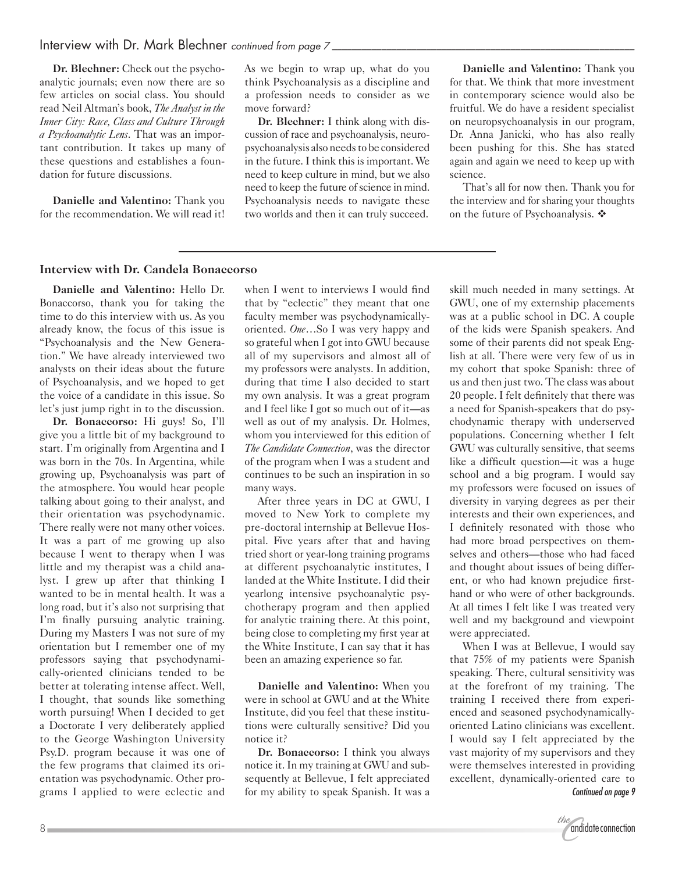**Dr. Blechner:** Check out the psychoanalytic journals; even now there are so few articles on social class. You should read Neil Altman's book, *The Analyst in the Inner City: Race, Class and Culture Through a Psychoanalytic Lens*. That was an important contribution. It takes up many of these questions and establishes a foundation for future discussions.

**Danielle and Valentino:** Thank you for the recommendation. We will read it! As we begin to wrap up, what do you think Psychoanalysis as a discipline and a profession needs to consider as we move forward?

**Dr. Blechner:** I think along with discussion of race and psychoanalysis, neuropsychoanalysis also needs to be considered in the future. I think this is important. We need to keep culture in mind, but we also need to keep the future of science in mind. Psychoanalysis needs to navigate these two worlds and then it can truly succeed.

**Danielle and Valentino:** Thank you for that. We think that more investment in contemporary science would also be fruitful. We do have a resident specialist on neuropsychoanalysis in our program, Dr. Anna Janicki, who has also really been pushing for this. She has stated again and again we need to keep up with science.

That's all for now then. Thank you for the interview and for sharing your thoughts on the future of Psychoanalysis.  $\mathbf{\hat{*}}$ 

#### **Interview with Dr. Candela Bonaccorso**

**Danielle and Valentino:** Hello Dr. Bonaccorso, thank you for taking the time to do this interview with us. As you already know, the focus of this issue is "Psychoanalysis and the New Generation." We have already interviewed two analysts on their ideas about the future of Psychoanalysis, and we hoped to get the voice of a candidate in this issue. So let's just jump right in to the discussion.

**Dr. Bonaccorso:** Hi guys! So, I'll give you a little bit of my background to start. I'm originally from Argentina and I was born in the 70s. In Argentina, while growing up, Psychoanalysis was part of the atmosphere. You would hear people talking about going to their analyst, and their orientation was psychodynamic. There really were not many other voices. It was a part of me growing up also because I went to therapy when I was little and my therapist was a child analyst. I grew up after that thinking I wanted to be in mental health. It was a long road, but it's also not surprising that I'm finally pursuing analytic training. During my Masters I was not sure of my orientation but I remember one of my professors saying that psychodynamically-oriented clinicians tended to be better at tolerating intense affect. Well, I thought, that sounds like something worth pursuing! When I decided to get a Doctorate I very deliberately applied to the George Washington University Psy.D. program because it was one of the few programs that claimed its orientation was psychodynamic. Other programs I applied to were eclectic and

when I went to interviews I would find that by "eclectic" they meant that one faculty member was psychodynamicallyoriented. *One*…So I was very happy and so grateful when I got into GWU because all of my supervisors and almost all of my professors were analysts. In addition, during that time I also decided to start my own analysis. It was a great program and I feel like I got so much out of it—as well as out of my analysis. Dr. Holmes, whom you interviewed for this edition of *The Candidate Connection*, was the director of the program when I was a student and continues to be such an inspiration in so many ways.

After three years in DC at GWU, I moved to New York to complete my pre-doctoral internship at Bellevue Hospital. Five years after that and having tried short or year-long training programs at different psychoanalytic institutes, I landed at the White Institute. I did their yearlong intensive psychoanalytic psychotherapy program and then applied for analytic training there. At this point, being close to completing my first year at the White Institute, I can say that it has been an amazing experience so far.

**Danielle and Valentino:** When you were in school at GWU and at the White Institute, did you feel that these institutions were culturally sensitive? Did you notice it?

**Dr. Bonaccorso:** I think you always notice it. In my training at GWU and subsequently at Bellevue, I felt appreciated for my ability to speak Spanish. It was a

skill much needed in many settings. At GWU, one of my externship placements was at a public school in DC. A couple of the kids were Spanish speakers. And some of their parents did not speak English at all. There were very few of us in my cohort that spoke Spanish: three of us and then just two. The class was about 20 people. I felt definitely that there was a need for Spanish-speakers that do psychodynamic therapy with underserved populations. Concerning whether I felt GWU was culturally sensitive, that seems like a difficult question—it was a huge school and a big program. I would say my professors were focused on issues of diversity in varying degrees as per their interests and their own experiences, and I definitely resonated with those who had more broad perspectives on themselves and others—those who had faced and thought about issues of being different, or who had known prejudice firsthand or who were of other backgrounds. At all times I felt like I was treated very well and my background and viewpoint were appreciated.

When I was at Bellevue, I would say that 75% of my patients were Spanish speaking. There, cultural sensitivity was at the forefront of my training. The training I received there from experienced and seasoned psychodynamicallyoriented Latino clinicians was excellent. I would say I felt appreciated by the vast majority of my supervisors and they were themselves interested in providing excellent, dynamically-oriented care to *Continued on page 9*

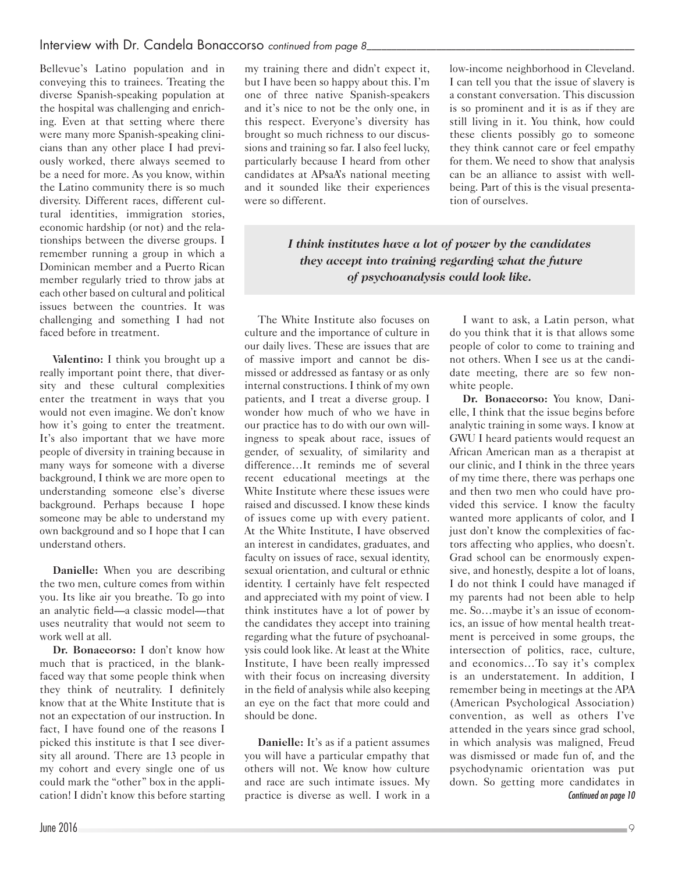Bellevue's Latino population and in conveying this to trainees. Treating the diverse Spanish-speaking population at the hospital was challenging and enriching. Even at that setting where there were many more Spanish-speaking clinicians than any other place I had previously worked, there always seemed to be a need for more. As you know, within the Latino community there is so much diversity. Different races, different cultural identities, immigration stories, economic hardship (or not) and the relationships between the diverse groups. I remember running a group in which a Dominican member and a Puerto Rican member regularly tried to throw jabs at each other based on cultural and political issues between the countries. It was challenging and something I had not faced before in treatment.

**Valentino:** I think you brought up a really important point there, that diversity and these cultural complexities enter the treatment in ways that you would not even imagine. We don't know how it's going to enter the treatment. It's also important that we have more people of diversity in training because in many ways for someone with a diverse background, I think we are more open to understanding someone else's diverse background. Perhaps because I hope someone may be able to understand my own background and so I hope that I can understand others.

**Danielle:** When you are describing the two men, culture comes from within you. Its like air you breathe. To go into an analytic field—a classic model—that uses neutrality that would not seem to work well at all.

**Dr. Bonaccorso:** I don't know how much that is practiced, in the blankfaced way that some people think when they think of neutrality. I definitely know that at the White Institute that is not an expectation of our instruction. In fact, I have found one of the reasons I picked this institute is that I see diversity all around. There are 13 people in my cohort and every single one of us could mark the "other" box in the application! I didn't know this before starting

my training there and didn't expect it, but I have been so happy about this. I'm one of three native Spanish-speakers and it's nice to not be the only one, in this respect. Everyone's diversity has brought so much richness to our discussions and training so far. I also feel lucky, particularly because I heard from other candidates at APsaA's national meeting and it sounded like their experiences were so different.

low-income neighborhood in Cleveland. I can tell you that the issue of slavery is a constant conversation. This discussion is so prominent and it is as if they are still living in it. You think, how could these clients possibly go to someone they think cannot care or feel empathy for them. We need to show that analysis can be an alliance to assist with wellbeing. Part of this is the visual presentation of ourselves.

*I think institutes have a lot of power by the candidates they accept into training regarding what the future of psychoanalysis could look like.*

The White Institute also focuses on culture and the importance of culture in our daily lives. These are issues that are of massive import and cannot be dismissed or addressed as fantasy or as only internal constructions. I think of my own patients, and I treat a diverse group. I wonder how much of who we have in our practice has to do with our own willingness to speak about race, issues of gender, of sexuality, of similarity and difference…It reminds me of several recent educational meetings at the White Institute where these issues were raised and discussed. I know these kinds of issues come up with every patient. At the White Institute, I have observed an interest in candidates, graduates, and faculty on issues of race, sexual identity, sexual orientation, and cultural or ethnic identity. I certainly have felt respected and appreciated with my point of view. I think institutes have a lot of power by the candidates they accept into training regarding what the future of psychoanalysis could look like. At least at the White Institute, I have been really impressed with their focus on increasing diversity in the field of analysis while also keeping an eye on the fact that more could and should be done.

**Danielle:** It's as if a patient assumes you will have a particular empathy that others will not. We know how culture and race are such intimate issues. My practice is diverse as well. I work in a

I want to ask, a Latin person, what do you think that it is that allows some people of color to come to training and not others. When I see us at the candidate meeting, there are so few nonwhite people.

**Dr. Bonaccorso:** You know, Danielle, I think that the issue begins before analytic training in some ways. I know at GWU I heard patients would request an African American man as a therapist at our clinic, and I think in the three years of my time there, there was perhaps one and then two men who could have provided this service. I know the faculty wanted more applicants of color, and I just don't know the complexities of factors affecting who applies, who doesn't. Grad school can be enormously expensive, and honestly, despite a lot of loans, I do not think I could have managed if my parents had not been able to help me. So…maybe it's an issue of economics, an issue of how mental health treatment is perceived in some groups, the intersection of politics, race, culture, and economics…To say it's complex is an understatement. In addition, I remember being in meetings at the APA (American Psychological Association) convention, as well as others I've attended in the years since grad school, in which analysis was maligned, Freud was dismissed or made fun of, and the psychodynamic orientation was put down. So getting more candidates in *Continued on page 10*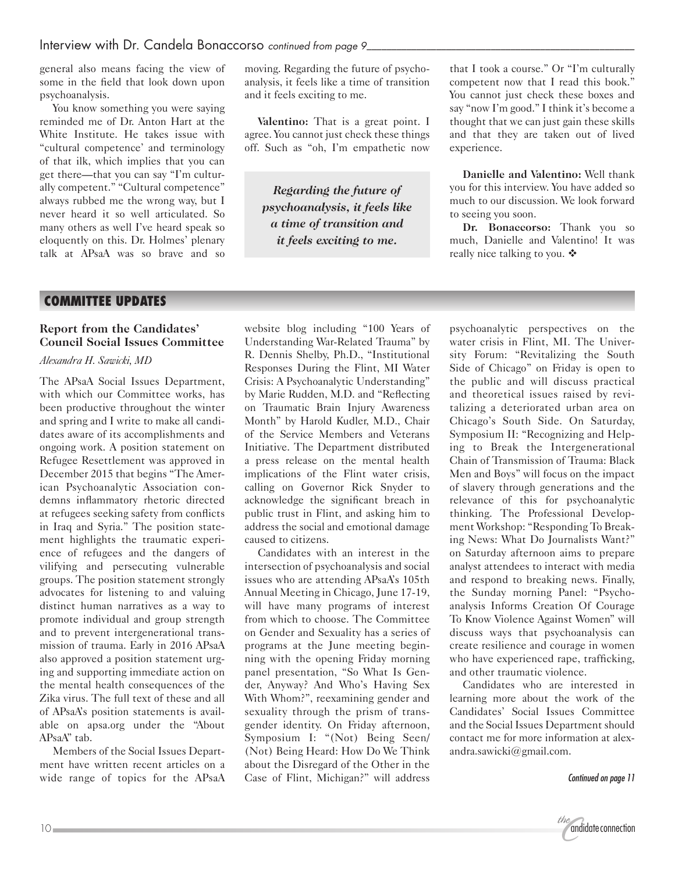general also means facing the view of some in the field that look down upon psychoanalysis.

You know something you were saying reminded me of Dr. Anton Hart at the White Institute. He takes issue with "cultural competence' and terminology of that ilk, which implies that you can get there—that you can say "I'm culturally competent." "Cultural competence" always rubbed me the wrong way, but I never heard it so well articulated. So many others as well I've heard speak so eloquently on this. Dr. Holmes' plenary talk at APsaA was so brave and so moving. Regarding the future of psychoanalysis, it feels like a time of transition and it feels exciting to me.

**Valentino:** That is a great point. I agree. You cannot just check these things off. Such as "oh, I'm empathetic now

*Regarding the future of psychoanalysis, it feels like a time of transition and it feels exciting to me.*

that I took a course." Or "I'm culturally competent now that I read this book." You cannot just check these boxes and say "now I'm good." I think it's become a thought that we can just gain these skills and that they are taken out of lived experience.

**Danielle and Valentino:** Well thank you for this interview. You have added so much to our discussion. We look forward to seeing you soon.

**Dr. Bonaccorso:** Thank you so much, Danielle and Valentino! It was really nice talking to you.  $\mathbf{\hat{*}}$ 

#### **COMMITTEE UPDATES**

#### **Report from the Candidates' Council Social Issues Committee**

#### *Alexandra H. Sawicki, MD*

The APsaA Social Issues Department, with which our Committee works, has been productive throughout the winter and spring and I write to make all candidates aware of its accomplishments and ongoing work. A position statement on Refugee Resettlement was approved in December 2015 that begins "The American Psychoanalytic Association condemns inflammatory rhetoric directed at refugees seeking safety from conflicts in Iraq and Syria." The position statement highlights the traumatic experience of refugees and the dangers of vilifying and persecuting vulnerable groups. The position statement strongly advocates for listening to and valuing distinct human narratives as a way to promote individual and group strength and to prevent intergenerational transmission of trauma. Early in 2016 APsaA also approved a position statement urging and supporting immediate action on the mental health consequences of the Zika virus. The full text of these and all of APsaA's position statements is available on apsa.org under the "About APsaA" tab.

Members of the Social Issues Department have written recent articles on a wide range of topics for the APsaA

website blog including "100 Years of Understanding War-Related Trauma" by R. Dennis Shelby, Ph.D., "Institutional Responses During the Flint, MI Water Crisis: A Psychoanalytic Understanding" by Marie Rudden, M.D. and "Reflecting on Traumatic Brain Injury Awareness Month" by Harold Kudler, M.D., Chair of the Service Members and Veterans Initiative. The Department distributed a press release on the mental health implications of the Flint water crisis, calling on Governor Rick Snyder to acknowledge the significant breach in public trust in Flint, and asking him to address the social and emotional damage caused to citizens.

Candidates with an interest in the intersection of psychoanalysis and social issues who are attending APsaA's 105th Annual Meeting in Chicago, June 17-19, will have many programs of interest from which to choose. The Committee on Gender and Sexuality has a series of programs at the June meeting beginning with the opening Friday morning panel presentation, "So What Is Gender, Anyway? And Who's Having Sex With Whom?", reexamining gender and sexuality through the prism of transgender identity. On Friday afternoon, Symposium I: "(Not) Being Seen/ (Not) Being Heard: How Do We Think about the Disregard of the Other in the Case of Flint, Michigan?" will address psychoanalytic perspectives on the water crisis in Flint, MI. The University Forum: "Revitalizing the South Side of Chicago" on Friday is open to the public and will discuss practical and theoretical issues raised by revitalizing a deteriorated urban area on Chicago's South Side. On Saturday, Symposium II: "Recognizing and Helping to Break the Intergenerational Chain of Transmission of Trauma: Black Men and Boys" will focus on the impact of slavery through generations and the relevance of this for psychoanalytic thinking. The Professional Development Workshop: "Responding To Breaking News: What Do Journalists Want?" on Saturday afternoon aims to prepare analyst attendees to interact with media and respond to breaking news. Finally, the Sunday morning Panel: "Psychoanalysis Informs Creation Of Courage To Know Violence Against Women" will discuss ways that psychoanalysis can create resilience and courage in women who have experienced rape, trafficking, and other traumatic violence.

Candidates who are interested in learning more about the work of the Candidates' Social Issues Committee and the Social Issues Department should contact me for more information at alexandra.sawicki@gmail.com.

*Continued on page 11*

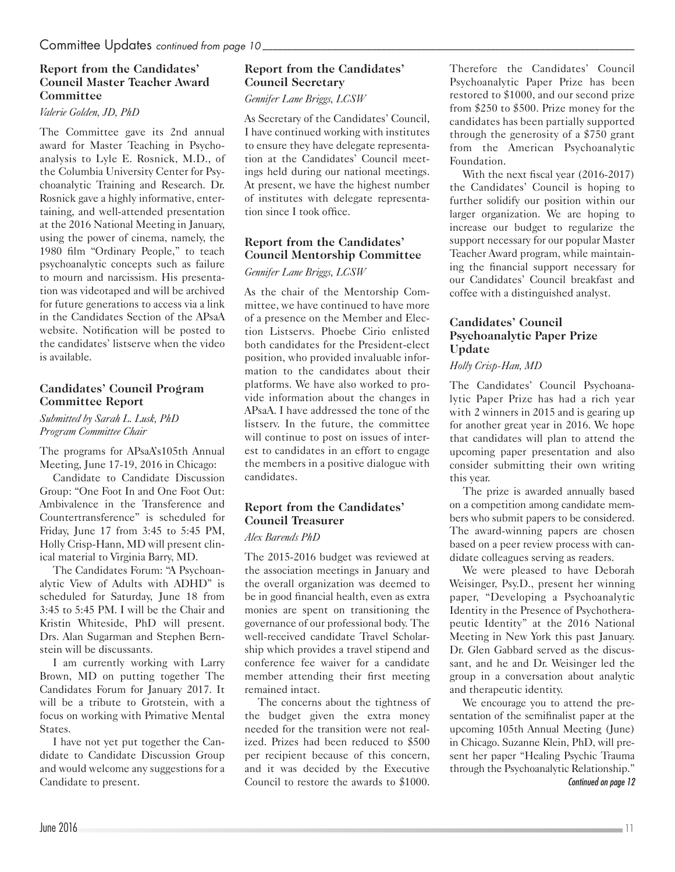#### **Report from the Candidates' Council Master Teacher Award Committee**

#### *Valerie Golden, JD, PhD*

The Committee gave its 2nd annual award for Master Teaching in Psychoanalysis to Lyle E. Rosnick, M.D., of the Columbia University Center for Psychoanalytic Training and Research. Dr. Rosnick gave a highly informative, entertaining, and well-attended presentation at the 2016 National Meeting in January, using the power of cinema, namely, the 1980 film "Ordinary People," to teach psychoanalytic concepts such as failure to mourn and narcissism. His presentation was videotaped and will be archived for future generations to access via a link in the Candidates Section of the APsaA website. Notification will be posted to the candidates' listserve when the video is available.

#### **Candidates' Council Program Committee Report**

*Submitted by Sarah L. Lusk, PhD Program Committee Chair*

The programs for APsaA's105th Annual Meeting, June 17-19, 2016 in Chicago:

Candidate to Candidate Discussion Group: "One Foot In and One Foot Out: Ambivalence in the Transference and Countertransference" is scheduled for Friday, June 17 from 3:45 to 5:45 PM, Holly Crisp-Hann, MD will present clinical material to Virginia Barry, MD.

The Candidates Forum: "A Psychoanalytic View of Adults with ADHD" is scheduled for Saturday, June 18 from 3:45 to 5:45 PM. I will be the Chair and Kristin Whiteside, PhD will present. Drs. Alan Sugarman and Stephen Bernstein will be discussants.

I am currently working with Larry Brown, MD on putting together The Candidates Forum for January 2017. It will be a tribute to Grotstein, with a focus on working with Primative Mental States.

I have not yet put together the Candidate to Candidate Discussion Group and would welcome any suggestions for a Candidate to present.

#### **Report from the Candidates' Council Secretary**

*Gennifer Lane Briggs, LCSW*

As Secretary of the Candidates' Council, I have continued working with institutes to ensure they have delegate representation at the Candidates' Council meetings held during our national meetings. At present, we have the highest number of institutes with delegate representation since I took office.

#### **Report from the Candidates' Council Mentorship Committee**

#### *Gennifer Lane Briggs, LCSW*

As the chair of the Mentorship Committee, we have continued to have more of a presence on the Member and Election Listservs. Phoebe Cirio enlisted both candidates for the President-elect position, who provided invaluable information to the candidates about their platforms. We have also worked to provide information about the changes in APsaA. I have addressed the tone of the listserv. In the future, the committee will continue to post on issues of interest to candidates in an effort to engage the members in a positive dialogue with candidates.

# **Report from the Candidates' Council Treasurer**

#### *Alex Barends PhD*

The 2015-2016 budget was reviewed at the association meetings in January and the overall organization was deemed to be in good financial health, even as extra monies are spent on transitioning the governance of our professional body. The well-received candidate Travel Scholarship which provides a travel stipend and conference fee waiver for a candidate member attending their first meeting remained intact.

The concerns about the tightness of the budget given the extra money needed for the transition were not realized. Prizes had been reduced to \$500 per recipient because of this concern, and it was decided by the Executive Council to restore the awards to \$1000. Therefore the Candidates' Council Psychoanalytic Paper Prize has been restored to \$1000, and our second prize from \$250 to \$500. Prize money for the candidates has been partially supported through the generosity of a \$750 grant from the American Psychoanalytic Foundation.

With the next fiscal year (2016-2017) the Candidates' Council is hoping to further solidify our position within our larger organization. We are hoping to increase our budget to regularize the support necessary for our popular Master Teacher Award program, while maintaining the financial support necessary for our Candidates' Council breakfast and coffee with a distinguished analyst.

#### **Candidates' Council Psychoanalytic Paper Prize Update**

#### *Holly Crisp-Han, MD*

The Candidates' Council Psychoanalytic Paper Prize has had a rich year with 2 winners in 2015 and is gearing up for another great year in 2016. We hope that candidates will plan to attend the upcoming paper presentation and also consider submitting their own writing this year.

The prize is awarded annually based on a competition among candidate members who submit papers to be considered. The award-winning papers are chosen based on a peer review process with candidate colleagues serving as readers.

We were pleased to have Deborah Weisinger, Psy.D., present her winning paper, "Developing a Psychoanalytic Identity in the Presence of Psychotherapeutic Identity" at the 2016 National Meeting in New York this past January. Dr. Glen Gabbard served as the discussant, and he and Dr. Weisinger led the group in a conversation about analytic and therapeutic identity.

We encourage you to attend the presentation of the semifinalist paper at the upcoming 105th Annual Meeting (June) in Chicago. Suzanne Klein, PhD, will present her paper "Healing Psychic Trauma through the Psychoanalytic Relationship." *Continued on page 12*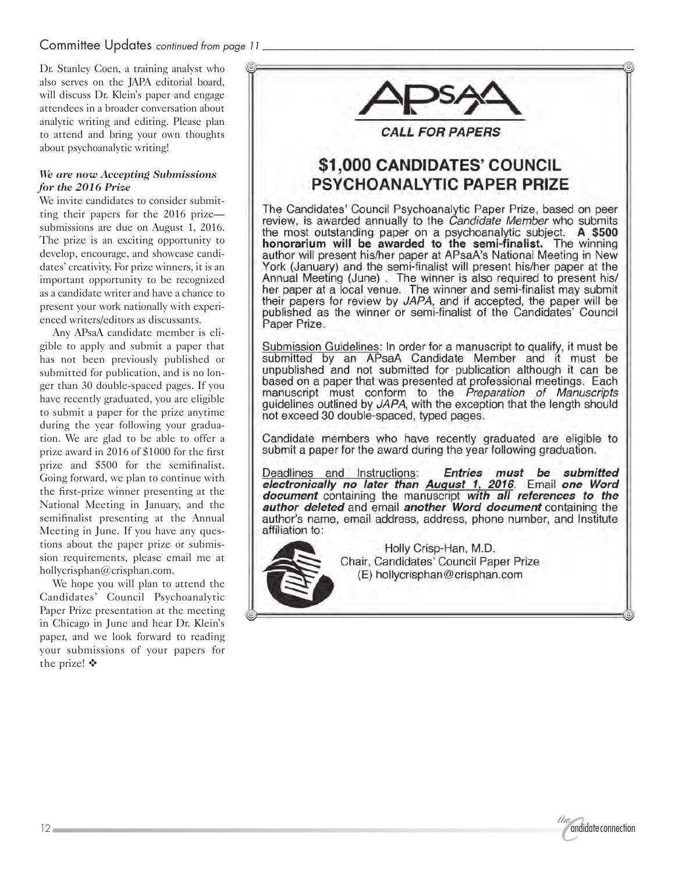### Committee Updates *continued from page 11*

Dr. Stanley Coen, a training analyst who also serves on the JAPA editorial board, will discuss Dr. Klein's paper and engage attendees in a broader conversation about analytic writing and editing. Please plan to attend and bring your own thoughts about psychoanalytic writing!

#### *We are now Accepting Submissions for the 2016 Prize*

We invite candidates to consider submitting their papers for the 2016 prize submissions are due on August 1, 2016. The prize is an exciting opportunity to develop, encourage, and showcase candidates' creativity. For prize winners, it is an important opportunity to be recognized as a candidate writer and have a chance to present your work nationally with experienced writers/editors as discussants.

Any APsaA candidate member is eligible to apply and submit a paper that has not been previously published or submitted for publication, and is no longer than 30 double-spaced pages. If you have recently graduated, you are eligible to submit a paper for the prize anytime during the year following your graduation. We are glad to be able to offer a prize award in 2016 of \$1000 for the first prize and \$500 for the semifinalist. Going forward, we plan to continue with the first-prize winner presenting at the National Meeting in January, and the semifinalist presenting at the Annual Meeting in June. If you have any questions about the paper prize or submission requirements, please email me at hollycrisphan@crisphan.com.

We hope you will plan to attend the Candidates' Council Psychoanalytic Paper Prize presentation at the meeting in Chicago in June and hear Dr. Klein's paper, and we look forward to reading your submissions of your papers for the prize!  $\mathbf{\hat{v}}$ 



*CALL FOR PAPERS* 

# \$1,000 CANDIDATES' COUNCIL **PSYCHOANALYTIC PAPER PRIZE**

The Candidates' Council Psychoanalytic Paper Prize, based on peer review, is awarded annually to the Candidate Member who submits the most outstanding paper on a psychoanalytic subject. A \$500 honorarium will be awarded to the semi-finalist. The winning<br>author will present his/her paper at APsaA's National Meeting in New York (January) and the semi-finalist will present his/her paper at the Annual Meeting (June). The winner is also required to present his/ her paper at a local venue. The winner and semi-finalist may submit their papers for review by JAPA, and if accepted, the paper will be published as the winner or semi-finalist of the Candidates' Council Paper Prize.

Submission Guidelines: In order for a manuscript to qualify, it must be submitted by an APsaA Candidate Member and it must be unpublished and not submitted for publication although it can be based on a paper that was presented at professional meetings. Each manuscript must conform to the Preparation of Manuscripts guidelines outlined by JAPA, with the exception that the length should not exceed 30 double-spaced, typed pages.

Candidate members who have recently graduated are eligible to submit a paper for the award during the year following graduation.

Deadlines and Instructions: Entries must be submitted electronically no later than August 1, 2016. Email one Word document containing the manuscript with all references to the author deleted and email another Word document containing the author's name, email address, address, phone number, and Institute affiliation to:



Holly Crisp-Han, M.D. Chair, Candidates' Council Paper Prize (E) hollycrisphan@crisphan.com